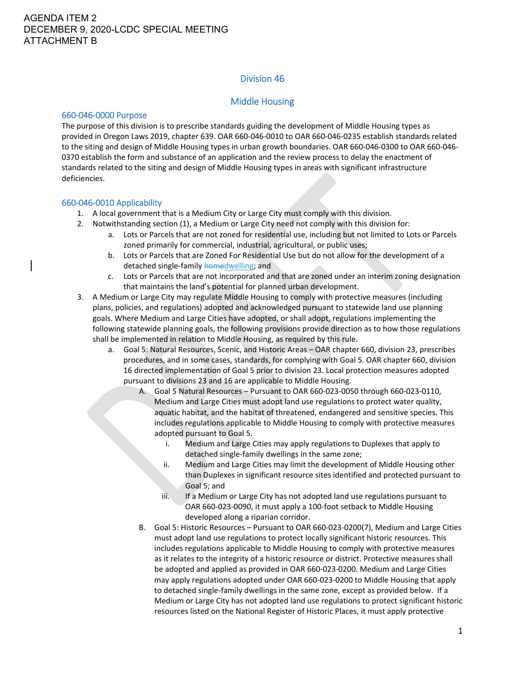# Division 46

## Middle Housing

#### 660‐046‐0000 Purpose

The purpose of this division is to prescribe standards guiding the development of Middle Housing types as provided in Oregon Laws 2019, chapter 639. OAR 660‐046‐0010 to OAR 660‐046‐0235 establish standards related to the siting and design of Middle Housing types in urban growth boundaries. OAR 660‐046‐0300 to OAR 660‐046‐ 0370 establish the form and substance of an application and the review process to delay the enactment of standards related to the siting and design of Middle Housing types in areas with significant infrastructure deficiencies.

#### 660‐046‐0010 Applicability

- 1. A local government that is a Medium City or Large City must comply with this division.
- 2. Notwithstanding section (1), a Medium or Large City need not comply with this division for:
	- a. Lots or Parcels that are not zoned for residential use, including but not limited to Lots or Parcels zoned primarily for commercial, industrial, agricultural, or public uses;
	- b. Lots or Parcels that are Zoned For Residential Use but do not allow for the development of a detached single-family homedwelling; and
	- c. Lots or Parcels that are not incorporated and that are zoned under an interim zoning designation that maintains the land's potential for planned urban development.
- 3. A Medium or Large City may regulate Middle Housing to comply with protective measures (including plans, policies, and regulations) adopted and acknowledged pursuant to statewide land use planning goals. Where Medium and Large Cities have adopted, or shall adopt, regulations implementing the following statewide planning goals, the following provisions provide direction as to how those regulations shall be implemented in relation to Middle Housing, as required by this rule.
	- a. Goal 5: Natural Resources, Scenic, and Historic Areas OAR chapter 660, division 23, prescribes procedures, and in some cases, standards, for complying with Goal 5. OAR chapter 660, division 16 directed implementation of Goal 5 prior to division 23. Local protection measures adopted pursuant to divisions 23 and 16 are applicable to Middle Housing.
		- A. Goal 5 Natural Resources Pursuant to OAR 660‐023‐0050 through 660‐023‐0110, Medium and Large Cities must adopt land use regulations to protect water quality, aquatic habitat, and the habitat of threatened, endangered and sensitive species. This includes regulations applicable to Middle Housing to comply with protective measures adopted pursuant to Goal 5.
			- i. Medium and Large Cities may apply regulations to Duplexes that apply to detached single‐family dwellings in the same zone;
			- ii. Medium and Large Cities may limit the development of Middle Housing other than Duplexes in significant resource sites identified and protected pursuant to Goal 5; and
			- iii. If a Medium or Large City has not adopted land use regulations pursuant to OAR 660‐023‐0090, it must apply a 100‐foot setback to Middle Housing developed along a riparian corridor.
		- B. Goal 5: Historic Resources Pursuant to OAR 660‐023‐0200(7), Medium and Large Cities must adopt land use regulations to protect locally significant historic resources. This includes regulations applicable to Middle Housing to comply with protective measures as it relates to the integrity of a historic resource or district. Protective measures shall be adopted and applied as provided in OAR 660‐023‐0200. Medium and Large Cities may apply regulations adopted under OAR 660‐023‐0200 to Middle Housing that apply to detached single‐family dwellings in the same zone, except as provided below. If a Medium or Large City has not adopted land use regulations to protect significant historic resources listed on the National Register of Historic Places, it must apply protective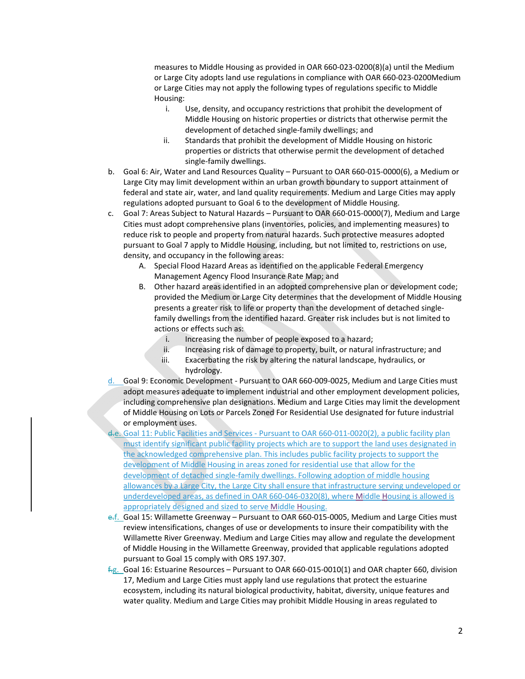measures to Middle Housing as provided in OAR 660‐023‐0200(8)(a) until the Medium or Large City adopts land use regulations in compliance with OAR 660‐023‐0200Medium or Large Cities may not apply the following types of regulations specific to Middle Housing:

- i. Use, density, and occupancy restrictions that prohibit the development of Middle Housing on historic properties or districts that otherwise permit the development of detached single‐family dwellings; and
- ii. Standards that prohibit the development of Middle Housing on historic properties or districts that otherwise permit the development of detached single‐family dwellings.
- b. Goal 6: Air, Water and Land Resources Quality Pursuant to OAR 660‐015‐0000(6), a Medium or Large City may limit development within an urban growth boundary to support attainment of federal and state air, water, and land quality requirements. Medium and Large Cities may apply regulations adopted pursuant to Goal 6 to the development of Middle Housing.
- c. Goal 7: Areas Subject to Natural Hazards Pursuant to OAR 660‐015‐0000(7), Medium and Large Cities must adopt comprehensive plans (inventories, policies, and implementing measures) to reduce risk to people and property from natural hazards. Such protective measures adopted pursuant to Goal 7 apply to Middle Housing, including, but not limited to, restrictions on use, density, and occupancy in the following areas:
	- A. Special Flood Hazard Areas as identified on the applicable Federal Emergency Management Agency Flood Insurance Rate Map; and
	- B. Other hazard areas identified in an adopted comprehensive plan or development code; provided the Medium or Large City determines that the development of Middle Housing presents a greater risk to life or property than the development of detached single‐ family dwellings from the identified hazard. Greater risk includes but is not limited to actions or effects such as:
		- i. Increasing the number of people exposed to a hazard;
		- ii. Increasing risk of damage to property, built, or natural infrastructure; and
		- iii. Exacerbating the risk by altering the natural landscape, hydraulics, or hydrology.
- d. Goal 9: Economic Development ‐ Pursuant to OAR 660‐009‐0025, Medium and Large Cities must adopt measures adequate to implement industrial and other employment development policies, including comprehensive plan designations. Medium and Large Cities may limit the development of Middle Housing on Lots or Parcels Zoned For Residential Use designated for future industrial or employment uses.
- Goal 11: Public Facilities and Services Pursuant to OAR 660-011-0020(2), a public facility plan must identify significant public facility projects which are to support the land uses designated in the acknowledged comprehensive plan. This includes public facility projects to support the development of Middle Housing in areas zoned for residential use that allow for the development of detached single‐family dwellings. Following adoption of middle housing allowances by a Large City, the Large City shall ensure that infrastructure serving undeveloped or underdeveloped areas, as defined in OAR 660‐046‐0320(8), where Middle Housing is allowed is appropriately designed and sized to serve Middle Housing.
- e.f. Goal 15: Willamette Greenway Pursuant to OAR 660-015-0005, Medium and Large Cities must review intensifications, changes of use or developments to insure their compatibility with the Willamette River Greenway. Medium and Large Cities may allow and regulate the development of Middle Housing in the Willamette Greenway, provided that applicable regulations adopted pursuant to Goal 15 comply with ORS 197.307.
- $f_{\text{eff}}$ . Goal 16: Estuarine Resources Pursuant to OAR 660-015-0010(1) and OAR chapter 660, division 17, Medium and Large Cities must apply land use regulations that protect the estuarine ecosystem, including its natural biological productivity, habitat, diversity, unique features and water quality. Medium and Large Cities may prohibit Middle Housing in areas regulated to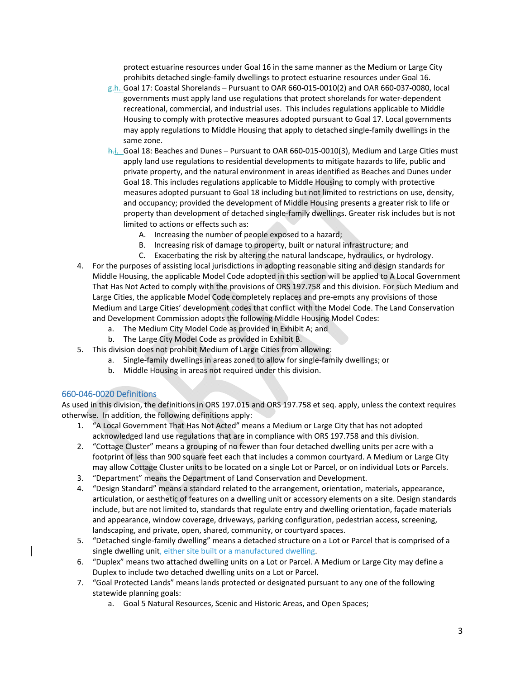protect estuarine resources under Goal 16 in the same manner as the Medium or Large City prohibits detached single‐family dwellings to protect estuarine resources under Goal 16.

- $g-h$ . Goal 17: Coastal Shorelands Pursuant to OAR 660-015-0010(2) and OAR 660-037-0080, local governments must apply land use regulations that protect shorelands for water‐dependent recreational, commercial, and industrial uses. This includes regulations applicable to Middle Housing to comply with protective measures adopted pursuant to Goal 17. Local governments may apply regulations to Middle Housing that apply to detached single‐family dwellings in the same zone.
- h.i. Goal 18: Beaches and Dunes Pursuant to OAR 660-015-0010(3), Medium and Large Cities must apply land use regulations to residential developments to mitigate hazards to life, public and private property, and the natural environment in areas identified as Beaches and Dunes under Goal 18. This includes regulations applicable to Middle Housing to comply with protective measures adopted pursuant to Goal 18 including but not limited to restrictions on use, density, and occupancy; provided the development of Middle Housing presents a greater risk to life or property than development of detached single‐family dwellings. Greater risk includes but is not limited to actions or effects such as:
	- A. Increasing the number of people exposed to a hazard;
	- B. Increasing risk of damage to property, built or natural infrastructure; and
	- C. Exacerbating the risk by altering the natural landscape, hydraulics, or hydrology.
- 4. For the purposes of assisting local jurisdictions in adopting reasonable siting and design standards for Middle Housing, the applicable Model Code adopted in this section will be applied to A Local Government That Has Not Acted to comply with the provisions of ORS 197.758 and this division. For such Medium and Large Cities, the applicable Model Code completely replaces and pre-empts any provisions of those Medium and Large Cities' development codes that conflict with the Model Code. The Land Conservation and Development Commission adopts the following Middle Housing Model Codes:
	- a. The Medium City Model Code as provided in Exhibit A; and
	- b. The Large City Model Code as provided in Exhibit B.
- 5. This division does not prohibit Medium of Large Cities from allowing:
	- a. Single‐family dwellings in areas zoned to allow for single‐family dwellings; or
	- b. Middle Housing in areas not required under this division.

### 660‐046‐0020 Definitions

As used in this division, the definitions in ORS 197.015 and ORS 197.758 et seq. apply, unless the context requires otherwise. In addition, the following definitions apply:

- 1. "A Local Government That Has Not Acted" means a Medium or Large City that has not adopted acknowledged land use regulations that are in compliance with ORS 197.758 and this division.
- 2. "Cottage Cluster" means a grouping of no fewer than four detached dwelling units per acre with a footprint of less than 900 square feet each that includes a common courtyard. A Medium or Large City may allow Cottage Cluster units to be located on a single Lot or Parcel, or on individual Lots or Parcels.
- 3. "Department" means the Department of Land Conservation and Development.
- 4. "Design Standard" means a standard related to the arrangement, orientation, materials, appearance, articulation, or aesthetic of features on a dwelling unit or accessory elements on a site. Design standards include, but are not limited to, standards that regulate entry and dwelling orientation, façade materials and appearance, window coverage, driveways, parking configuration, pedestrian access, screening, landscaping, and private, open, shared, community, or courtyard spaces.
- 5. "Detached single-family dwelling" means a detached structure on a Lot or Parcel that is comprised of a single dwelling unit, either site built or a manufactured dwelling.
- 6. "Duplex" means two attached dwelling units on a Lot or Parcel. A Medium or Large City may define a Duplex to include two detached dwelling units on a Lot or Parcel.
- 7. "Goal Protected Lands" means lands protected or designated pursuant to any one of the following statewide planning goals:
	- a. Goal 5 Natural Resources, Scenic and Historic Areas, and Open Spaces;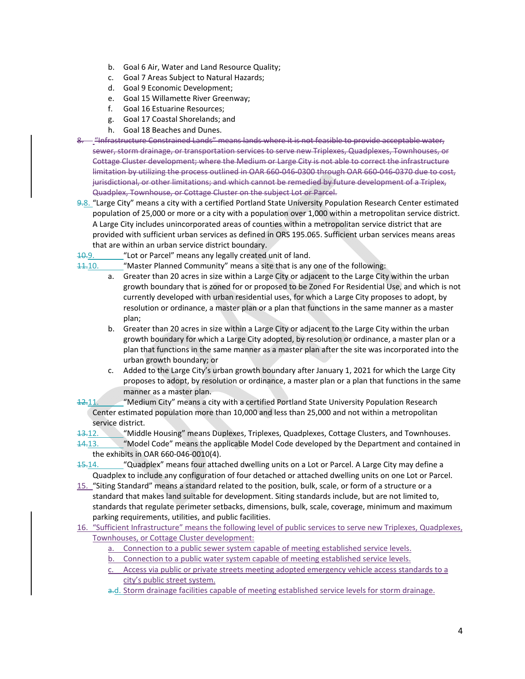- b. Goal 6 Air, Water and Land Resource Quality;
- c. Goal 7 Areas Subject to Natural Hazards;
- d. Goal 9 Economic Development;
- e. Goal 15 Willamette River Greenway;
- f. Goal 16 Estuarine Resources;
- g. Goal 17 Coastal Shorelands; and
- h. Goal 18 Beaches and Dunes.
- 8. Finfrastructure Constrained Lands" means lands where it is not feasible to provide acceptable water, sewer, storm drainage, or transportation services to serve new Triplexes, Quadplexes, Townhouses, or Cottage Cluster development; where the Medium or Large City is not able to correct the infrastructure limitation by utilizing the process outlined in OAR 660‐046‐0300 through OAR 660‐046‐0370 due to cost, jurisdictional, or other limitations; and which cannot be remedied by future development of a Triplex, Quadplex, Townhouse, or Cottage Cluster on the subject Lot or Parcel.
- 9.8. "Large City" means a city with a certified Portland State University Population Research Center estimated population of 25,000 or more or a city with a population over 1,000 within a metropolitan service district. A Large City includes unincorporated areas of counties within a metropolitan service district that are provided with sufficient urban services as defined in ORS 195.065. Sufficient urban services means areas that are within an urban service district boundary.
- 10.9. "Lot or Parcel" means any legally created unit of land.
- $11.10.$  "Master Planned Community" means a site that is any one of the following:
	- a. Greater than 20 acres in size within a Large City or adjacent to the Large City within the urban growth boundary that is zoned for or proposed to be Zoned For Residential Use, and which is not currently developed with urban residential uses, for which a Large City proposes to adopt, by resolution or ordinance, a master plan or a plan that functions in the same manner as a master plan;
		- b. Greater than 20 acres in size within a Large City or adjacent to the Large City within the urban growth boundary for which a Large City adopted, by resolution or ordinance, a master plan or a plan that functions in the same manner as a master plan after the site was incorporated into the urban growth boundary; or
		- c. Added to the Large City's urban growth boundary after January 1, 2021 for which the Large City proposes to adopt, by resolution or ordinance, a master plan or a plan that functions in the same manner as a master plan.
- 12.11. "Medium City" means a city with a certified Portland State University Population Research Center estimated population more than 10,000 and less than 25,000 and not within a metropolitan service district.
- 13.12. "Middle Housing" means Duplexes, Triplexes, Quadplexes, Cottage Clusters, and Townhouses.
- 14.13. "Model Code" means the applicable Model Code developed by the Department and contained in the exhibits in OAR 660‐046‐0010(4).
- 15.14. "Guadplex" means four attached dwelling units on a Lot or Parcel. A Large City may define a Quadplex to include any configuration of four detached or attached dwelling units on one Lot or Parcel.
- 15. "Siting Standard" means a standard related to the position, bulk, scale, or form of a structure or a standard that makes land suitable for development. Siting standards include, but are not limited to, standards that regulate perimeter setbacks, dimensions, bulk, scale, coverage, minimum and maximum parking requirements, utilities, and public facilities.
- 16. "Sufficient Infrastructure" means the following level of public services to serve new Triplexes, Quadplexes, Townhouses, or Cottage Cluster development:
	- a. Connection to a public sewer system capable of meeting established service levels.
	- b. Connection to a public water system capable of meeting established service levels.
	- c. Access via public or private streets meeting adopted emergency vehicle access standards to a city's public street system.
	- a.d. Storm drainage facilities capable of meeting established service levels for storm drainage.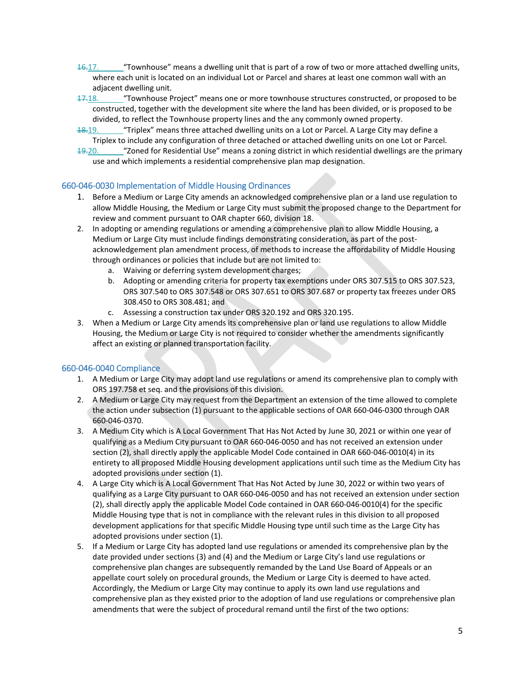- $16.17.$  "Townhouse" means a dwelling unit that is part of a row of two or more attached dwelling units, where each unit is located on an individual Lot or Parcel and shares at least one common wall with an adjacent dwelling unit.
- $17.18.$  "Townhouse Project" means one or more townhouse structures constructed, or proposed to be constructed, together with the development site where the land has been divided, or is proposed to be divided, to reflect the Townhouse property lines and the any commonly owned property.
- 18.19. "Triplex" means three attached dwelling units on a Lot or Parcel. A Large City may define a Triplex to include any configuration of three detached or attached dwelling units on one Lot or Parcel.
- 19.20. ""Zoned for Residential Use" means a zoning district in which residential dwellings are the primary use and which implements a residential comprehensive plan map designation.

# 660‐046‐0030 Implementation of Middle Housing Ordinances

- 1. Before a Medium or Large City amends an acknowledged comprehensive plan or a land use regulation to allow Middle Housing, the Medium or Large City must submit the proposed change to the Department for review and comment pursuant to OAR chapter 660, division 18.
- 2. In adopting or amending regulations or amending a comprehensive plan to allow Middle Housing, a Medium or Large City must include findings demonstrating consideration, as part of the postacknowledgement plan amendment process, of methods to increase the affordability of Middle Housing through ordinances or policies that include but are not limited to:
	- a. Waiving or deferring system development charges;
	- b. Adopting or amending criteria for property tax exemptions under ORS 307.515 to ORS 307.523, ORS 307.540 to ORS 307.548 or ORS 307.651 to ORS 307.687 or property tax freezes under ORS 308.450 to ORS 308.481; and
	- c. Assessing a construction tax under ORS 320.192 and ORS 320.195.
- 3. When a Medium or Large City amends its comprehensive plan or land use regulations to allow Middle Housing, the Medium or Large City is not required to consider whether the amendments significantly affect an existing or planned transportation facility.

### 660‐046‐0040 Compliance

- 1. A Medium or Large City may adopt land use regulations or amend its comprehensive plan to comply with ORS 197.758 et seq. and the provisions of this division.
- 2. A Medium or Large City may request from the Department an extension of the time allowed to complete the action under subsection (1) pursuant to the applicable sections of OAR 660‐046‐0300 through OAR 660‐046‐0370.
- 3. A Medium City which is A Local Government That Has Not Acted by June 30, 2021 or within one year of qualifying as a Medium City pursuant to OAR 660‐046‐0050 and has not received an extension under section (2), shall directly apply the applicable Model Code contained in OAR 660-046-0010(4) in its entirety to all proposed Middle Housing development applications until such time as the Medium City has adopted provisions under section (1).
- 4. A Large City which is A Local Government That Has Not Acted by June 30, 2022 or within two years of qualifying as a Large City pursuant to OAR 660‐046‐0050 and has not received an extension under section (2), shall directly apply the applicable Model Code contained in OAR 660‐046‐0010(4) for the specific Middle Housing type that is not in compliance with the relevant rules in this division to all proposed development applications for that specific Middle Housing type until such time as the Large City has adopted provisions under section (1).
- 5. If a Medium or Large City has adopted land use regulations or amended its comprehensive plan by the date provided under sections (3) and (4) and the Medium or Large City's land use regulations or comprehensive plan changes are subsequently remanded by the Land Use Board of Appeals or an appellate court solely on procedural grounds, the Medium or Large City is deemed to have acted. Accordingly, the Medium or Large City may continue to apply its own land use regulations and comprehensive plan as they existed prior to the adoption of land use regulations or comprehensive plan amendments that were the subject of procedural remand until the first of the two options: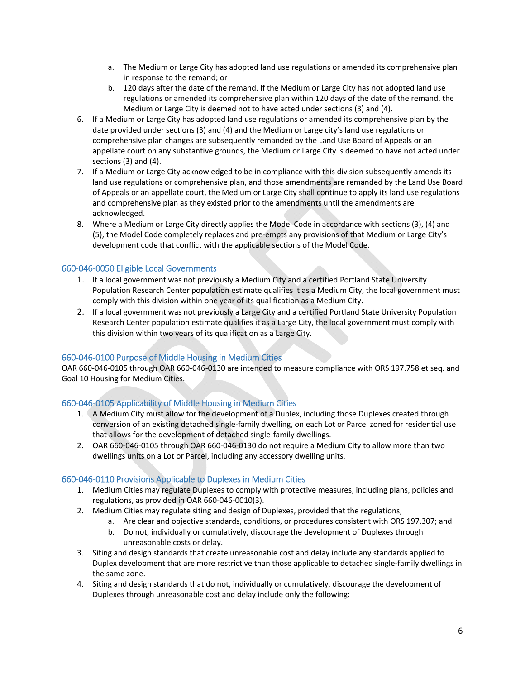- a. The Medium or Large City has adopted land use regulations or amended its comprehensive plan in response to the remand; or
- b. 120 days after the date of the remand. If the Medium or Large City has not adopted land use regulations or amended its comprehensive plan within 120 days of the date of the remand, the Medium or Large City is deemed not to have acted under sections (3) and (4).
- 6. If a Medium or Large City has adopted land use regulations or amended its comprehensive plan by the date provided under sections (3) and (4) and the Medium or Large city's land use regulations or comprehensive plan changes are subsequently remanded by the Land Use Board of Appeals or an appellate court on any substantive grounds, the Medium or Large City is deemed to have not acted under sections (3) and (4).
- 7. If a Medium or Large City acknowledged to be in compliance with this division subsequently amends its land use regulations or comprehensive plan, and those amendments are remanded by the Land Use Board of Appeals or an appellate court, the Medium or Large City shall continue to apply its land use regulations and comprehensive plan as they existed prior to the amendments until the amendments are acknowledged.
- 8. Where a Medium or Large City directly applies the Model Code in accordance with sections (3), (4) and (5), the Model Code completely replaces and pre‐empts any provisions of that Medium or Large City's development code that conflict with the applicable sections of the Model Code.

# 660‐046‐0050 Eligible Local Governments

- 1. If a local government was not previously a Medium City and a certified Portland State University Population Research Center population estimate qualifies it as a Medium City, the local government must comply with this division within one year of its qualification as a Medium City.
- 2. If a local government was not previously a Large City and a certified Portland State University Population Research Center population estimate qualifies it as a Large City, the local government must comply with this division within two years of its qualification as a Large City.

# 660‐046‐0100 Purpose of Middle Housing in Medium Cities

OAR 660‐046‐0105 through OAR 660‐046‐0130 are intended to measure compliance with ORS 197.758 et seq. and Goal 10 Housing for Medium Cities.

# 660‐046‐0105 Applicability of Middle Housing in Medium Cities

- 1. A Medium City must allow for the development of a Duplex, including those Duplexes created through conversion of an existing detached single-family dwelling, on each Lot or Parcel zoned for residential use that allows for the development of detached single‐family dwellings.
- 2. OAR 660‐046‐0105 through OAR 660‐046‐0130 do not require a Medium City to allow more than two dwellings units on a Lot or Parcel, including any accessory dwelling units.

# 660‐046‐0110 Provisions Applicable to Duplexes in Medium Cities

- 1. Medium Cities may regulate Duplexes to comply with protective measures, including plans, policies and regulations, as provided in OAR 660‐046‐0010(3).
- 2. Medium Cities may regulate siting and design of Duplexes, provided that the regulations;
	- a. Are clear and objective standards, conditions, or procedures consistent with ORS 197.307; and
	- b. Do not, individually or cumulatively, discourage the development of Duplexes through unreasonable costs or delay.
- 3. Siting and design standards that create unreasonable cost and delay include any standards applied to Duplex development that are more restrictive than those applicable to detached single‐family dwellings in the same zone.
- 4. Siting and design standards that do not, individually or cumulatively, discourage the development of Duplexes through unreasonable cost and delay include only the following: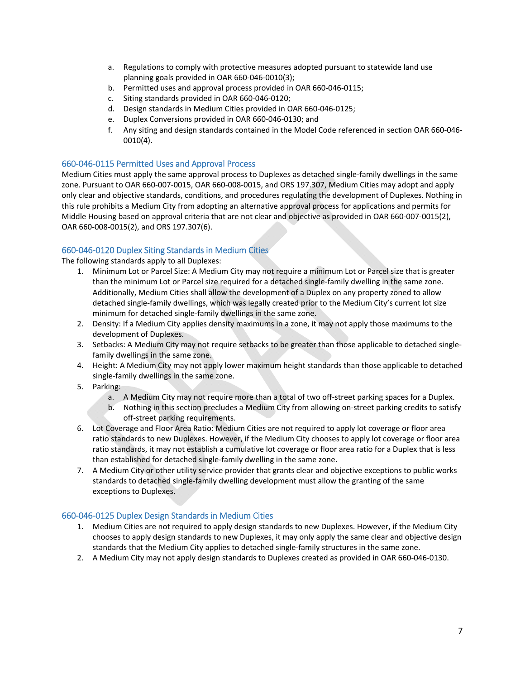- a. Regulations to comply with protective measures adopted pursuant to statewide land use planning goals provided in OAR 660‐046‐0010(3);
- b. Permitted uses and approval process provided in OAR 660‐046‐0115;
- c. Siting standards provided in OAR 660‐046‐0120;
- d. Design standards in Medium Cities provided in OAR 660‐046‐0125;
- e. Duplex Conversions provided in OAR 660‐046‐0130; and
- f. Any siting and design standards contained in the Model Code referenced in section OAR 660‐046‐ 0010(4).

### 660‐046‐0115 Permitted Uses and Approval Process

Medium Cities must apply the same approval process to Duplexes as detached single‐family dwellings in the same zone. Pursuant to OAR 660‐007‐0015, OAR 660‐008‐0015, and ORS 197.307, Medium Cities may adopt and apply only clear and objective standards, conditions, and procedures regulating the development of Duplexes. Nothing in this rule prohibits a Medium City from adopting an alternative approval process for applications and permits for Middle Housing based on approval criteria that are not clear and objective as provided in OAR 660‐007‐0015(2), OAR 660‐008‐0015(2), and ORS 197.307(6).

### 660‐046‐0120 Duplex Siting Standards in Medium Cities

The following standards apply to all Duplexes:

- 1. Minimum Lot or Parcel Size: A Medium City may not require a minimum Lot or Parcel size that is greater than the minimum Lot or Parcel size required for a detached single‐family dwelling in the same zone. Additionally, Medium Cities shall allow the development of a Duplex on any property zoned to allow detached single‐family dwellings, which was legally created prior to the Medium City's current lot size minimum for detached single‐family dwellings in the same zone.
- 2. Density: If a Medium City applies density maximums in a zone, it may not apply those maximums to the development of Duplexes.
- 3. Setbacks: A Medium City may not require setbacks to be greater than those applicable to detached single‐ family dwellings in the same zone.
- 4. Height: A Medium City may not apply lower maximum height standards than those applicable to detached single‐family dwellings in the same zone.
- 5. Parking:
	- a. A Medium City may not require more than a total of two off‐street parking spaces for a Duplex.
	- b. Nothing in this section precludes a Medium City from allowing on‐street parking credits to satisfy off‐street parking requirements.
- 6. Lot Coverage and Floor Area Ratio: Medium Cities are not required to apply lot coverage or floor area ratio standards to new Duplexes. However, if the Medium City chooses to apply lot coverage or floor area ratio standards, it may not establish a cumulative lot coverage or floor area ratio for a Duplex that is less than established for detached single‐family dwelling in the same zone.
- 7. A Medium City or other utility service provider that grants clear and objective exceptions to public works standards to detached single‐family dwelling development must allow the granting of the same exceptions to Duplexes.

### 660‐046‐0125 Duplex Design Standards in Medium Cities

- 1. Medium Cities are not required to apply design standards to new Duplexes. However, if the Medium City chooses to apply design standards to new Duplexes, it may only apply the same clear and objective design standards that the Medium City applies to detached single‐family structures in the same zone.
- 2. A Medium City may not apply design standards to Duplexes created as provided in OAR 660‐046‐0130.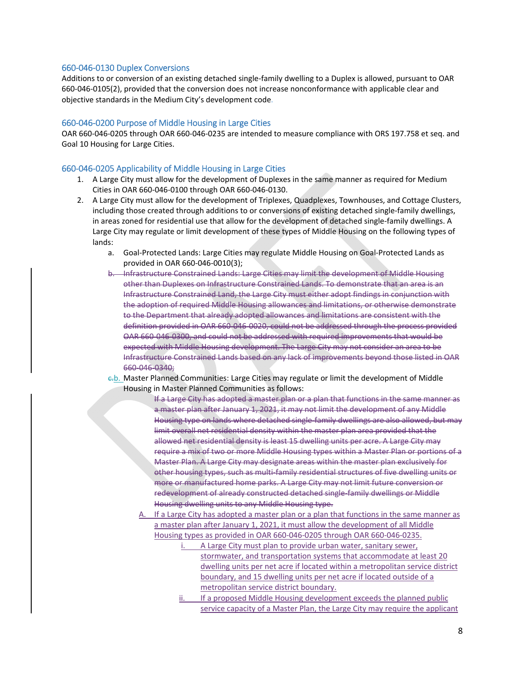#### 660‐046‐0130 Duplex Conversions

Additions to or conversion of an existing detached single‐family dwelling to a Duplex is allowed, pursuant to OAR 660‐046‐0105(2), provided that the conversion does not increase nonconformance with applicable clear and objective standards in the Medium City's development code.

#### 660‐046‐0200 Purpose of Middle Housing in Large Cities

OAR 660‐046‐0205 through OAR 660‐046‐0235 are intended to measure compliance with ORS 197.758 et seq. and Goal 10 Housing for Large Cities.

#### 660‐046‐0205 Applicability of Middle Housing in Large Cities

- 1. A Large City must allow for the development of Duplexes in the same manner as required for Medium Cities in OAR 660‐046‐0100 through OAR 660‐046‐0130.
- 2. A Large City must allow for the development of Triplexes, Quadplexes, Townhouses, and Cottage Clusters, including those created through additions to or conversions of existing detached single-family dwellings, in areas zoned for residential use that allow for the development of detached single‐family dwellings. A Large City may regulate or limit development of these types of Middle Housing on the following types of lands:
	- a. Goal‐Protected Lands: Large Cities may regulate Middle Housing on Goal‐Protected Lands as provided in OAR 660‐046‐0010(3);
	- b. Infrastructure Constrained Lands: Large Cities may limit the development of Middle Housing other than Duplexes on Infrastructure Constrained Lands. To demonstrate that an area is an Infrastructure Constrained Land, the Large City must either adopt findings in conjunction with the adoption of required Middle Housing allowances and limitations, or otherwise demonstrate to the Department that already adopted allowances and limitations are consistent with the definition provided in OAR 660‐046‐0020, could not be addressed through the process provided OAR 660‐046‐0300, and could not be addressed with required improvements that would be expected with Middle Housing development. The Large City may not consider an area to be Infrastructure Constrained Lands based on any lack of improvements beyond those listed in OAR 660‐046‐0340;
	- c.b. Master Planned Communities: Large Cities may regulate or limit the development of Middle Housing in Master Planned Communities as follows:
		- If a Large City has adopted a master plan or a plan that functions in the same manner as a master plan after January 1, 2021, it may not limit the development of any Middle Housing type on lands where detached single-family dwellings are also allowed, but may limit overall net residential density within the master plan area provided that the allowed net residential density is least 15 dwelling units per acre. A Large City may require a mix of two or more Middle Housing types within a Master Plan or portions of a Master Plan. A Large City may designate areas within the master plan exclusively for other housing types, such as multi‐family residential structures of five dwelling units or more or manufactured home parks. A Large City may not limit future conversion or redevelopment of already constructed detached single‐family dwellings or Middle Housing dwelling units to any Middle Housing type.
		- A. If a Large City has adopted a master plan or a plan that functions in the same manner as a master plan after January 1, 2021, it must allow the development of all Middle Housing types as provided in OAR 660‐046‐0205 through OAR 660‐046‐0235.
			- A Large City must plan to provide urban water, sanitary sewer, stormwater, and transportation systems that accommodate at least 20 dwelling units per net acre if located within a metropolitan service district boundary, and 15 dwelling units per net acre if located outside of a metropolitan service district boundary.
			- ii. If a proposed Middle Housing development exceeds the planned public service capacity of a Master Plan, the Large City may require the applicant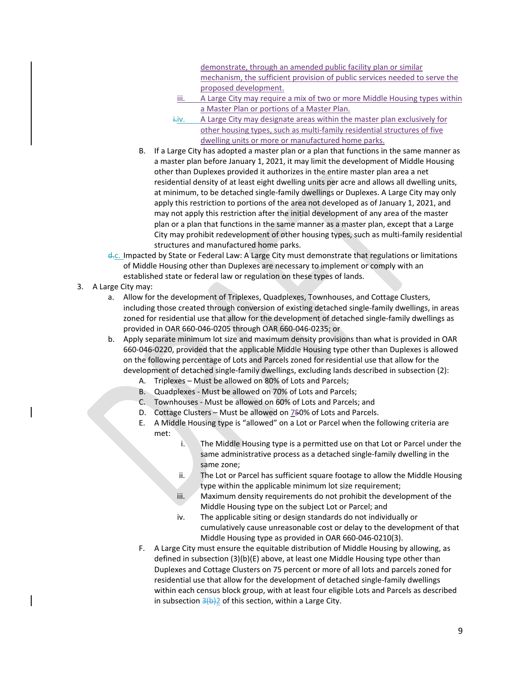demonstrate, through an amended public facility plan or similar mechanism, the sufficient provision of public services needed to serve the proposed development.

- iii. A Large City may require a mix of two or more Middle Housing types within a Master Plan or portions of a Master Plan.
- $i$ . A Large City may designate areas within the master plan exclusively for other housing types, such as multi‐family residential structures of five dwelling units or more or manufactured home parks.
- B. If a Large City has adopted a master plan or a plan that functions in the same manner as a master plan before January 1, 2021, it may limit the development of Middle Housing other than Duplexes provided it authorizes in the entire master plan area a net residential density of at least eight dwelling units per acre and allows all dwelling units, at minimum, to be detached single‐family dwellings or Duplexes. A Large City may only apply this restriction to portions of the area not developed as of January 1, 2021, and may not apply this restriction after the initial development of any area of the master plan or a plan that functions in the same manner as a master plan, except that a Large City may prohibit redevelopment of other housing types, such as multi‐family residential structures and manufactured home parks.
- d.c. Impacted by State or Federal Law: A Large City must demonstrate that regulations or limitations of Middle Housing other than Duplexes are necessary to implement or comply with an established state or federal law or regulation on these types of lands.
- 3. A Large City may:
	- a. Allow for the development of Triplexes, Quadplexes, Townhouses, and Cottage Clusters, including those created through conversion of existing detached single-family dwellings, in areas zoned for residential use that allow for the development of detached single-family dwellings as provided in OAR 660‐046‐0205 through OAR 660‐046‐0235; or
	- b. Apply separate minimum lot size and maximum density provisions than what is provided in OAR 660‐046‐0220, provided that the applicable Middle Housing type other than Duplexes is allowed on the following percentage of Lots and Parcels zoned for residential use that allow for the development of detached single‐family dwellings, excluding lands described in subsection (2):
		- A. Triplexes Must be allowed on 80% of Lots and Parcels;
		- B. Quadplexes ‐ Must be allowed on 70% of Lots and Parcels;
		- C. Townhouses ‐ Must be allowed on 60% of Lots and Parcels; and
		- D. Cottage Clusters Must be allowed on 750% of Lots and Parcels.
		- E. A Middle Housing type is "allowed" on a Lot or Parcel when the following criteria are met:
			- i. The Middle Housing type is a permitted use on that Lot or Parcel under the same administrative process as a detached single‐family dwelling in the same zone;
			- ii. The Lot or Parcel has sufficient square footage to allow the Middle Housing type within the applicable minimum lot size requirement;
			- iii. Maximum density requirements do not prohibit the development of the Middle Housing type on the subject Lot or Parcel; and
			- iv. The applicable siting or design standards do not individually or cumulatively cause unreasonable cost or delay to the development of that Middle Housing type as provided in OAR 660‐046‐0210(3).
		- F. A Large City must ensure the equitable distribution of Middle Housing by allowing, as defined in subsection (3)(b)(E) above, at least one Middle Housing type other than Duplexes and Cottage Clusters on 75 percent or more of all lots and parcels zoned for residential use that allow for the development of detached single‐family dwellings within each census block group, with at least four eligible Lots and Parcels as described in subsection  $\frac{3(b)}{2}$  of this section, within a Large City.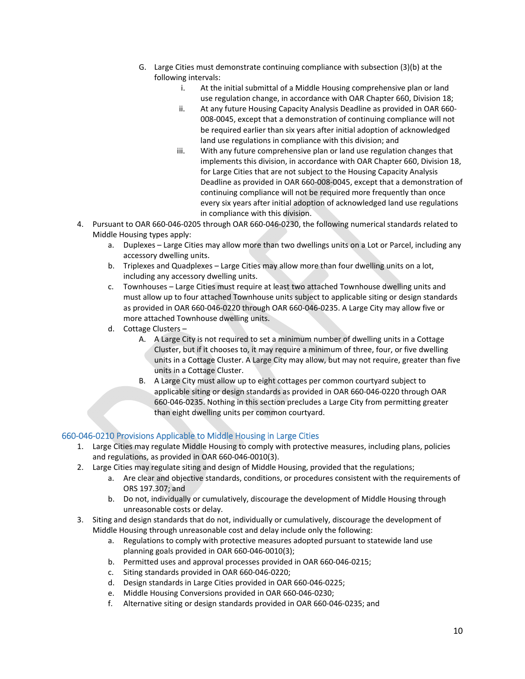- G. Large Cities must demonstrate continuing compliance with subsection (3)(b) at the following intervals:
	- i. At the initial submittal of a Middle Housing comprehensive plan or land use regulation change, in accordance with OAR Chapter 660, Division 18;
	- ii. At any future Housing Capacity Analysis Deadline as provided in OAR 660‐ 008‐0045, except that a demonstration of continuing compliance will not be required earlier than six years after initial adoption of acknowledged land use regulations in compliance with this division; and
	- iii. With any future comprehensive plan or land use regulation changes that implements this division, in accordance with OAR Chapter 660, Division 18, for Large Cities that are not subject to the Housing Capacity Analysis Deadline as provided in OAR 660‐008‐0045, except that a demonstration of continuing compliance will not be required more frequently than once every six years after initial adoption of acknowledged land use regulations in compliance with this division.
- 4. Pursuant to OAR 660‐046‐0205 through OAR 660‐046‐0230, the following numerical standards related to Middle Housing types apply:
	- a. Duplexes Large Cities may allow more than two dwellings units on a Lot or Parcel, including any accessory dwelling units.
	- b. Triplexes and Quadplexes Large Cities may allow more than four dwelling units on a lot, including any accessory dwelling units.
	- c. Townhouses Large Cities must require at least two attached Townhouse dwelling units and must allow up to four attached Townhouse units subject to applicable siting or design standards as provided in OAR 660‐046‐0220 through OAR 660‐046‐0235. A Large City may allow five or more attached Townhouse dwelling units.
	- d. Cottage Clusters
		- A. A Large City is not required to set a minimum number of dwelling units in a Cottage Cluster, but if it chooses to, it may require a minimum of three, four, or five dwelling units in a Cottage Cluster. A Large City may allow, but may not require, greater than five units in a Cottage Cluster.
		- B. A Large City must allow up to eight cottages per common courtyard subject to applicable siting or design standards as provided in OAR 660‐046‐0220 through OAR 660‐046‐0235. Nothing in this section precludes a Large City from permitting greater than eight dwelling units per common courtyard.

# 660‐046‐0210 Provisions Applicable to Middle Housing in Large Cities

- 1. Large Cities may regulate Middle Housing to comply with protective measures, including plans, policies and regulations, as provided in OAR 660‐046‐0010(3).
- 2. Large Cities may regulate siting and design of Middle Housing, provided that the regulations;
	- a. Are clear and objective standards, conditions, or procedures consistent with the requirements of ORS 197.307; and
	- b. Do not, individually or cumulatively, discourage the development of Middle Housing through unreasonable costs or delay.
- 3. Siting and design standards that do not, individually or cumulatively, discourage the development of Middle Housing through unreasonable cost and delay include only the following:
	- a. Regulations to comply with protective measures adopted pursuant to statewide land use planning goals provided in OAR 660‐046‐0010(3);
	- b. Permitted uses and approval processes provided in OAR 660‐046‐0215;
	- c. Siting standards provided in OAR 660‐046‐0220;
	- d. Design standards in Large Cities provided in OAR 660‐046‐0225;
	- e. Middle Housing Conversions provided in OAR 660‐046‐0230;
	- f. Alternative siting or design standards provided in OAR 660‐046‐0235; and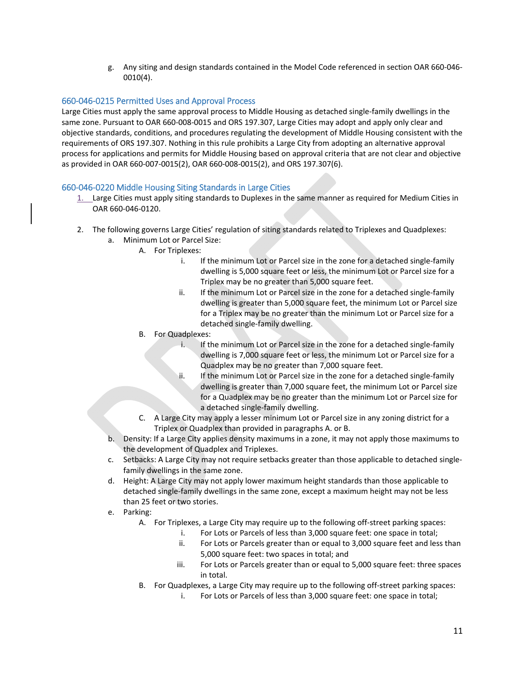g. Any siting and design standards contained in the Model Code referenced in section OAR 660‐046‐ 0010(4).

# 660‐046‐0215 Permitted Uses and Approval Process

Large Cities must apply the same approval process to Middle Housing as detached single‐family dwellings in the same zone. Pursuant to OAR 660-008-0015 and ORS 197.307, Large Cities may adopt and apply only clear and objective standards, conditions, and procedures regulating the development of Middle Housing consistent with the requirements of ORS 197.307. Nothing in this rule prohibits a Large City from adopting an alternative approval process for applications and permits for Middle Housing based on approval criteria that are not clear and objective as provided in OAR 660‐007‐0015(2), OAR 660‐008‐0015(2), and ORS 197.307(6).

### 660‐046‐0220 Middle Housing Siting Standards in Large Cities

- 1. Large Cities must apply siting standards to Duplexes in the same manner as required for Medium Cities in OAR 660‐046‐0120.
- 2. The following governs Large Cities' regulation of siting standards related to Triplexes and Quadplexes:
	- a. Minimum Lot or Parcel Size:
		- A. For Triplexes:
			- i. If the minimum Lot or Parcel size in the zone for a detached single-family dwelling is 5,000 square feet or less, the minimum Lot or Parcel size for a Triplex may be no greater than 5,000 square feet.
			- ii. If the minimum Lot or Parcel size in the zone for a detached single-family dwelling is greater than 5,000 square feet, the minimum Lot or Parcel size for a Triplex may be no greater than the minimum Lot or Parcel size for a detached single‐family dwelling.
			- B. For Quadplexes:
				- i. If the minimum Lot or Parcel size in the zone for a detached single-family dwelling is 7,000 square feet or less, the minimum Lot or Parcel size for a Quadplex may be no greater than 7,000 square feet.
				- ii. If the minimum Lot or Parcel size in the zone for a detached single-family dwelling is greater than 7,000 square feet, the minimum Lot or Parcel size for a Quadplex may be no greater than the minimum Lot or Parcel size for a detached single‐family dwelling.
		- C. A Large City may apply a lesser minimum Lot or Parcel size in any zoning district for a Triplex or Quadplex than provided in paragraphs A. or B.
	- b. Density: If a Large City applies density maximums in a zone, it may not apply those maximums to the development of Quadplex and Triplexes.
	- c. Setbacks: A Large City may not require setbacks greater than those applicable to detached single‐ family dwellings in the same zone.
	- d. Height: A Large City may not apply lower maximum height standards than those applicable to detached single‐family dwellings in the same zone, except a maximum height may not be less than 25 feet or two stories.
	- e. Parking:
		- A. For Triplexes, a Large City may require up to the following off‐street parking spaces:
			- i. For Lots or Parcels of less than 3,000 square feet: one space in total;
			- ii. For Lots or Parcels greater than or equal to 3,000 square feet and less than 5,000 square feet: two spaces in total; and
			- iii. For Lots or Parcels greater than or equal to 5,000 square feet: three spaces in total.
		- B. For Quadplexes, a Large City may require up to the following off‐street parking spaces:
			- i. For Lots or Parcels of less than 3,000 square feet: one space in total;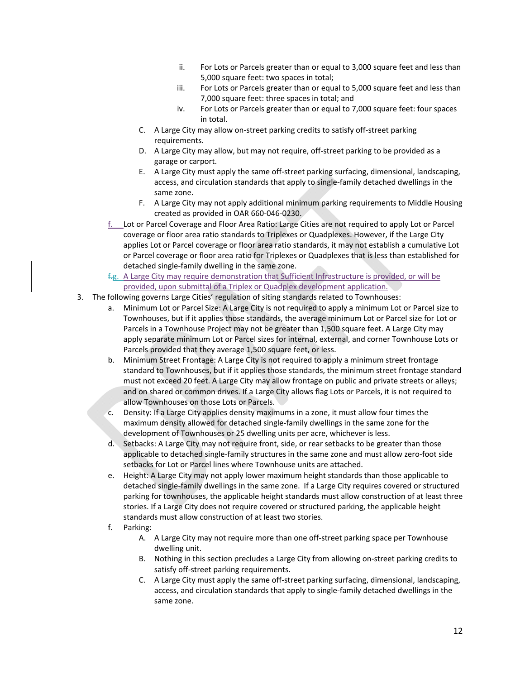- ii. For Lots or Parcels greater than or equal to 3,000 square feet and less than 5,000 square feet: two spaces in total;
- iii. For Lots or Parcels greater than or equal to 5,000 square feet and less than 7,000 square feet: three spaces in total; and
- iv. For Lots or Parcels greater than or equal to 7,000 square feet: four spaces in total.
- C. A Large City may allow on‐street parking credits to satisfy off‐street parking requirements.
- D. A Large City may allow, but may not require, off-street parking to be provided as a garage or carport.
- E. A Large City must apply the same off‐street parking surfacing, dimensional, landscaping, access, and circulation standards that apply to single‐family detached dwellings in the same zone.
- F. A Large City may not apply additional minimum parking requirements to Middle Housing created as provided in OAR 660‐046‐0230.
- f. Lot or Parcel Coverage and Floor Area Ratio: Large Cities are not required to apply Lot or Parcel coverage or floor area ratio standards to Triplexes or Quadplexes. However, if the Large City applies Lot or Parcel coverage or floor area ratio standards, it may not establish a cumulative Lot or Parcel coverage or floor area ratio for Triplexes or Quadplexes that is less than established for detached single‐family dwelling in the same zone.
- $f.g.$  A Large City may require demonstration that Sufficient Infrastructure is provided, or will be provided, upon submittal of a Triplex or Quadplex development application.
- 3. The following governs Large Cities' regulation of siting standards related to Townhouses:
	- a. Minimum Lot or Parcel Size: A Large City is not required to apply a minimum Lot or Parcel size to Townhouses, but if it applies those standards, the average minimum Lot or Parcel size for Lot or Parcels in a Townhouse Project may not be greater than 1,500 square feet. A Large City may apply separate minimum Lot or Parcel sizes for internal, external, and corner Townhouse Lots or Parcels provided that they average 1,500 square feet, or less.
	- b. Minimum Street Frontage: A Large City is not required to apply a minimum street frontage standard to Townhouses, but if it applies those standards, the minimum street frontage standard must not exceed 20 feet. A Large City may allow frontage on public and private streets or alleys; and on shared or common drives. If a Large City allows flag Lots or Parcels, it is not required to allow Townhouses on those Lots or Parcels.
	- c. Density: If a Large City applies density maximums in a zone, it must allow four times the maximum density allowed for detached single‐family dwellings in the same zone for the development of Townhouses or 25 dwelling units per acre, whichever is less.
	- d. Setbacks: A Large City may not require front, side, or rear setbacks to be greater than those applicable to detached single‐family structures in the same zone and must allow zero‐foot side setbacks for Lot or Parcel lines where Townhouse units are attached.
	- e. Height: A Large City may not apply lower maximum height standards than those applicable to detached single‐family dwellings in the same zone. If a Large City requires covered or structured parking for townhouses, the applicable height standards must allow construction of at least three stories. If a Large City does not require covered or structured parking, the applicable height standards must allow construction of at least two stories.
	- f. Parking:
		- A. A Large City may not require more than one off‐street parking space per Townhouse dwelling unit.
		- B. Nothing in this section precludes a Large City from allowing on‐street parking credits to satisfy off-street parking requirements.
		- C. A Large City must apply the same off‐street parking surfacing, dimensional, landscaping, access, and circulation standards that apply to single‐family detached dwellings in the same zone.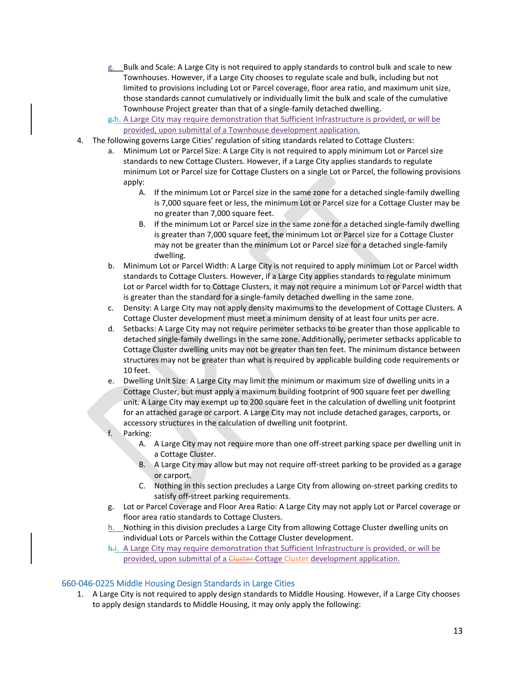- g. Bulk and Scale: A Large City is not required to apply standards to control bulk and scale to new Townhouses. However, if a Large City chooses to regulate scale and bulk, including but not limited to provisions including Lot or Parcel coverage, floor area ratio, and maximum unit size, those standards cannot cumulatively or individually limit the bulk and scale of the cumulative Townhouse Project greater than that of a single‐family detached dwelling.
- g<sub>r</sub>h. A Large City may require demonstration that Sufficient Infrastructure is provided, or will be provided, upon submittal of a Townhouse development application.
- 4. The following governs Large Cities' regulation of siting standards related to Cottage Clusters:
	- a. Minimum Lot or Parcel Size: A Large City is not required to apply minimum Lot or Parcel size standards to new Cottage Clusters. However, if a Large City applies standards to regulate minimum Lot or Parcel size for Cottage Clusters on a single Lot or Parcel, the following provisions apply:
		- A. If the minimum Lot or Parcel size in the same zone for a detached single-family dwelling is 7,000 square feet or less, the minimum Lot or Parcel size for a Cottage Cluster may be no greater than 7,000 square feet.
		- B. If the minimum Lot or Parcel size in the same zone for a detached single‐family dwelling is greater than 7,000 square feet, the minimum Lot or Parcel size for a Cottage Cluster may not be greater than the minimum Lot or Parcel size for a detached single‐family dwelling.
	- b. Minimum Lot or Parcel Width: A Large City is not required to apply minimum Lot or Parcel width standards to Cottage Clusters. However, if a Large City applies standards to regulate minimum Lot or Parcel width for to Cottage Clusters, it may not require a minimum Lot or Parcel width that is greater than the standard for a single‐family detached dwelling in the same zone.
	- c. Density: A Large City may not apply density maximums to the development of Cottage Clusters. A Cottage Cluster development must meet a minimum density of at least four units per acre.
	- d. Setbacks: A Large City may not require perimeter setbacks to be greater than those applicable to detached single‐family dwellings in the same zone. Additionally, perimeter setbacks applicable to Cottage Cluster dwelling units may not be greater than ten feet. The minimum distance between structures may not be greater than what is required by applicable building code requirements or 10 feet.
	- e. Dwelling Unit Size: A Large City may limit the minimum or maximum size of dwelling units in a Cottage Cluster, but must apply a maximum building footprint of 900 square feet per dwelling unit. A Large City may exempt up to 200 square feet in the calculation of dwelling unit footprint for an attached garage or carport. A Large City may not include detached garages, carports, or accessory structures in the calculation of dwelling unit footprint.
	- f. Parking:
		- A. A Large City may not require more than one off-street parking space per dwelling unit in a Cottage Cluster.
		- B. A Large City may allow but may not require off-street parking to be provided as a garage or carport.
		- C. Nothing in this section precludes a Large City from allowing on‐street parking credits to satisfy off-street parking requirements.
	- g. Lot or Parcel Coverage and Floor Area Ratio: A Large City may not apply Lot or Parcel coverage or floor area ratio standards to Cottage Clusters.
	- h. Nothing in this division precludes a Large City from allowing Cottage Cluster dwelling units on individual Lots or Parcels within the Cottage Cluster development.
	- h.i. A Large City may require demonstration that Sufficient Infrastructure is provided, or will be provided, upon submittal of a Cluster-Cottage Cluster development application.

# 660‐046‐0225 Middle Housing Design Standards in Large Cities

1. A Large City is not required to apply design standards to Middle Housing. However, if a Large City chooses to apply design standards to Middle Housing, it may only apply the following: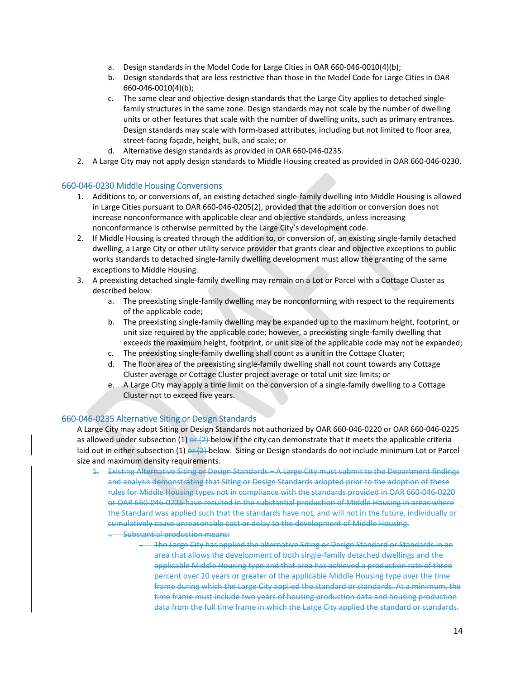- a. Design standards in the Model Code for Large Cities in OAR 660-046-0010(4)(b);
- b. Design standards that are less restrictive than those in the Model Code for Large Cities in OAR 660‐046‐0010(4)(b);
- c. The same clear and objective design standards that the Large City applies to detached single‐ family structures in the same zone. Design standards may not scale by the number of dwelling units or other features that scale with the number of dwelling units, such as primary entrances. Design standards may scale with form‐based attributes, including but not limited to floor area, street‐facing façade, height, bulk, and scale; or
- d. Alternative design standards as provided in OAR 660‐046‐0235.
- 2. A Large City may not apply design standards to Middle Housing created as provided in OAR 660‐046‐0230.

### 660‐046‐0230 Middle Housing Conversions

- 1. Additions to, or conversions of, an existing detached single‐family dwelling into Middle Housing is allowed in Large Cities pursuant to OAR 660‐046‐0205(2), provided that the addition or conversion does not increase nonconformance with applicable clear and objective standards, unless increasing nonconformance is otherwise permitted by the Large City's development code.
- 2. If Middle Housing is created through the addition to, or conversion of, an existing single-family detached dwelling, a Large City or other utility service provider that grants clear and objective exceptions to public works standards to detached single‐family dwelling development must allow the granting of the same exceptions to Middle Housing.
- 3. A preexisting detached single‐family dwelling may remain on a Lot or Parcel with a Cottage Cluster as described below:
	- a. The preexisting single-family dwelling may be nonconforming with respect to the requirements of the applicable code;
	- b. The preexisting single‐family dwelling may be expanded up to the maximum height, footprint, or unit size required by the applicable code; however, a preexisting single‐family dwelling that exceeds the maximum height, footprint, or unit size of the applicable code may not be expanded;
	- c. The preexisting single‐family dwelling shall count as a unit in the Cottage Cluster;
	- d. The floor area of the preexisting single‐family dwelling shall not count towards any Cottage Cluster average or Cottage Cluster project average or total unit size limits; or
	- e. A Large City may apply a time limit on the conversion of a single‐family dwelling to a Cottage Cluster not to exceed five years.

#### 660‐046‐0235 Alternative Siting or Design Standards

A Large City may adopt Siting or Design Standards not authorized by OAR 660‐046‐0220 or OAR 660‐046‐0225 as allowed under subsection (1)  $\frac{\partial P}{\partial x}$  below if the city can demonstrate that it meets the applicable criteria laid out in either subsection (1) or  $(2)$ -below. Siting or Design standards do not include minimum Lot or Parcel size and maximum density requirements.

- 1. Existing Alternative Siting or Design Standards A Large City must submit to the Department findings and analysis demonstrating that Siting or Design Standards adopted prior to the adoption of these rules for Middle Housing types not in compliance with the standards provided in OAR 660‐046‐0220 or OAR 660‐046‐0225 have resulted in the substantial production of Middle Housing in areas where the Standard was applied such that the standards have not, and will not in the future, individually or cumulatively cause unreasonable cost or delay to the development of Middle Housing. . Substantial production means:
	- . The Large City has applied the alternative Siting or Design Standard or Standards in an area that allows the development of both single‐family detached dwellings and the applicable Middle Housing type and that area has achieved a production rate of three percent over 20 years or greater of the applicable Middle Housing type over the time frame during which the Large City applied the standard or standards. At a minimum, the time frame must include two years of housing production data and housing production data from the full time frame in which the Large City applied the standard or standards.